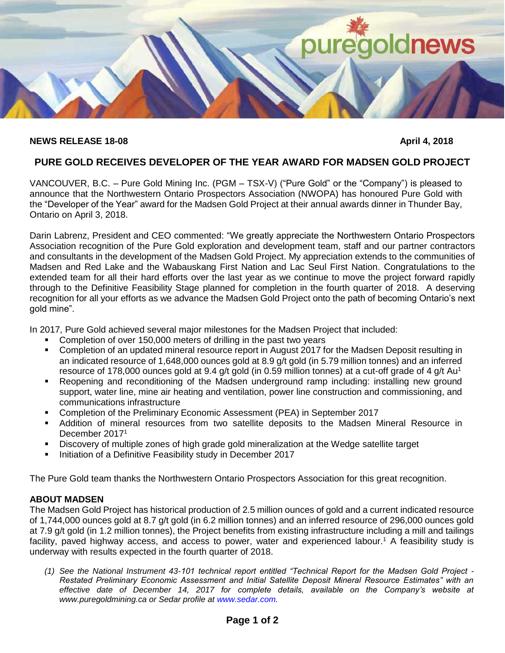

## **NEWS RELEASE 18-08** April 4, 2018

# **PURE GOLD RECEIVES DEVELOPER OF THE YEAR AWARD FOR MADSEN GOLD PROJECT**

VANCOUVER, B.C. – Pure Gold Mining Inc. (PGM – TSX-V) ("Pure Gold" or the "Company") is pleased to announce that the Northwestern Ontario Prospectors Association (NWOPA) has honoured Pure Gold with the "Developer of the Year" award for the Madsen Gold Project at their annual awards dinner in Thunder Bay, Ontario on April 3, 2018.

Darin Labrenz, President and CEO commented: "We greatly appreciate the Northwestern Ontario Prospectors Association recognition of the Pure Gold exploration and development team, staff and our partner contractors and consultants in the development of the Madsen Gold Project. My appreciation extends to the communities of Madsen and Red Lake and the Wabauskang First Nation and Lac Seul First Nation. Congratulations to the extended team for all their hard efforts over the last year as we continue to move the project forward rapidly through to the Definitive Feasibility Stage planned for completion in the fourth quarter of 2018. A deserving recognition for all your efforts as we advance the Madsen Gold Project onto the path of becoming Ontario's next gold mine".

In 2017, Pure Gold achieved several major milestones for the Madsen Project that included:

- Completion of over 150,000 meters of drilling in the past two years
- Completion of an updated mineral resource report in August 2017 for the Madsen Deposit resulting in an indicated resource of 1,648,000 ounces gold at 8.9 g/t gold (in 5.79 million tonnes) and an inferred resource of 178,000 ounces gold at 9.4 g/t gold (in 0.59 million tonnes) at a cut-off grade of 4 g/t Au<sup>1</sup>
- Reopening and reconditioning of the Madsen underground ramp including: installing new ground support, water line, mine air heating and ventilation, power line construction and commissioning, and communications infrastructure
- Completion of the Preliminary Economic Assessment (PEA) in September 2017
- Addition of mineral resources from two satellite deposits to the Madsen Mineral Resource in December 2017<sup>1</sup>
- Discovery of multiple zones of high grade gold mineralization at the Wedge satellite target
- **Initiation of a Definitive Feasibility study in December 2017**

The Pure Gold team thanks the Northwestern Ontario Prospectors Association for this great recognition.

## **ABOUT MADSEN**

The Madsen Gold Project has historical production of 2.5 million ounces of gold and a current indicated resource of 1,744,000 ounces gold at 8.7 g/t gold (in 6.2 million tonnes) and an inferred resource of 296,000 ounces gold at 7.9 g/t gold (in 1.2 million tonnes), the Project benefits from existing infrastructure including a mill and tailings facility, paved highway access, and access to power, water and experienced labour.<sup>1</sup> A feasibility study is underway with results expected in the fourth quarter of 2018.

*(1) See the National Instrument 43-101 technical report entitled "Technical Report for the Madsen Gold Project - Restated Preliminary Economic Assessment and Initial Satellite Deposit Mineral Resource Estimates" with an effective date of December 14, 2017 for complete details, available on the Company's website at www.puregoldmining.ca or Sedar profile at www.sedar.com.*